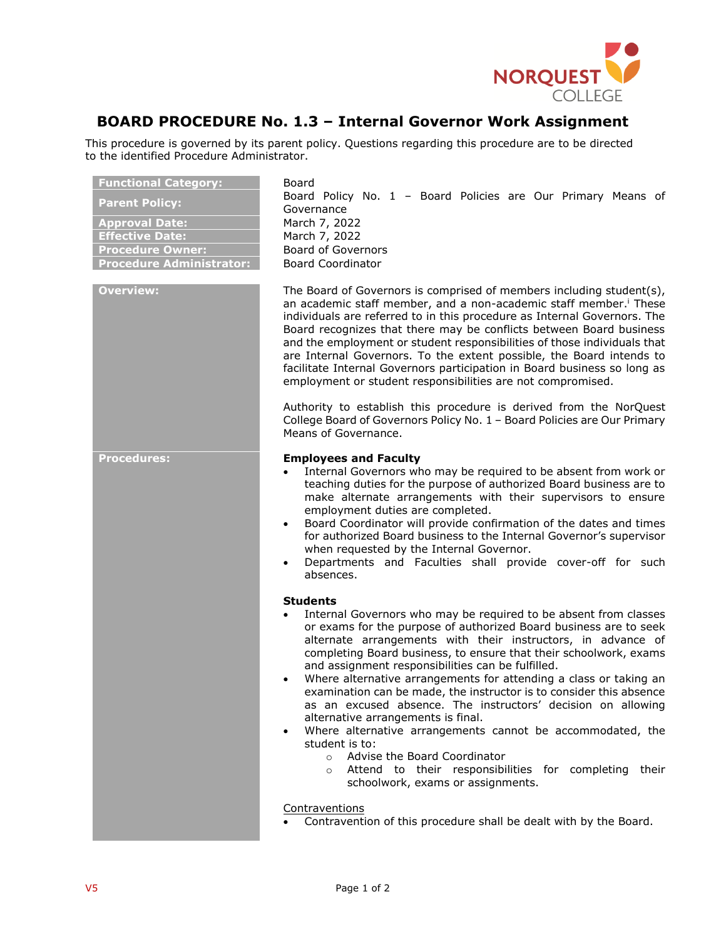

## **BOARD PROCEDURE No. 1.3 – Internal Governor Work Assignment**

This procedure is governed by its parent policy. Questions regarding this procedure are to be directed to the identified Procedure Administrator.

| <b>Functional Category:</b><br><b>Parent Policy:</b><br><b>Approval Date:</b><br><b>Effective Date:</b><br><b>Procedure Owner:</b><br><b>Procedure Administrator:</b> | Board<br>Board Policy No. 1 - Board Policies are Our Primary Means of<br>Governance<br>March 7, 2022<br>March 7, 2022<br><b>Board of Governors</b><br><b>Board Coordinator</b>                                                                                                                                                                                                                                                                                                                                                                                                                                                                                                                                                                                                                                                  |
|-----------------------------------------------------------------------------------------------------------------------------------------------------------------------|---------------------------------------------------------------------------------------------------------------------------------------------------------------------------------------------------------------------------------------------------------------------------------------------------------------------------------------------------------------------------------------------------------------------------------------------------------------------------------------------------------------------------------------------------------------------------------------------------------------------------------------------------------------------------------------------------------------------------------------------------------------------------------------------------------------------------------|
| Overview:                                                                                                                                                             | The Board of Governors is comprised of members including student(s),<br>an academic staff member, and a non-academic staff member. <sup>i</sup> These<br>individuals are referred to in this procedure as Internal Governors. The<br>Board recognizes that there may be conflicts between Board business<br>and the employment or student responsibilities of those individuals that<br>are Internal Governors. To the extent possible, the Board intends to<br>facilitate Internal Governors participation in Board business so long as<br>employment or student responsibilities are not compromised.                                                                                                                                                                                                                         |
|                                                                                                                                                                       | Authority to establish this procedure is derived from the NorQuest<br>College Board of Governors Policy No. 1 - Board Policies are Our Primary<br>Means of Governance.                                                                                                                                                                                                                                                                                                                                                                                                                                                                                                                                                                                                                                                          |
| <b>Procedures:</b>                                                                                                                                                    | <b>Employees and Faculty</b><br>Internal Governors who may be required to be absent from work or<br>teaching duties for the purpose of authorized Board business are to<br>make alternate arrangements with their supervisors to ensure<br>employment duties are completed.<br>Board Coordinator will provide confirmation of the dates and times<br>for authorized Board business to the Internal Governor's supervisor<br>when requested by the Internal Governor.<br>Departments and Faculties shall provide cover-off for such<br>$\bullet$<br>absences.                                                                                                                                                                                                                                                                    |
|                                                                                                                                                                       | <b>Students</b><br>Internal Governors who may be required to be absent from classes<br>or exams for the purpose of authorized Board business are to seek<br>alternate arrangements with their instructors, in advance of<br>completing Board business, to ensure that their schoolwork, exams<br>and assignment responsibilities can be fulfilled.<br>Where alternative arrangements for attending a class or taking an<br>examination can be made, the instructor is to consider this absence<br>as an excused absence. The instructors' decision on allowing<br>alternative arrangements is final.<br>Where alternative arrangements cannot be accommodated, the<br>student is to:<br>o Advise the Board Coordinator<br>Attend to their responsibilities for completing their<br>$\circ$<br>schoolwork, exams or assignments. |
|                                                                                                                                                                       | Contraventions<br>Contravention of this procedure shall be dealt with by the Board.                                                                                                                                                                                                                                                                                                                                                                                                                                                                                                                                                                                                                                                                                                                                             |